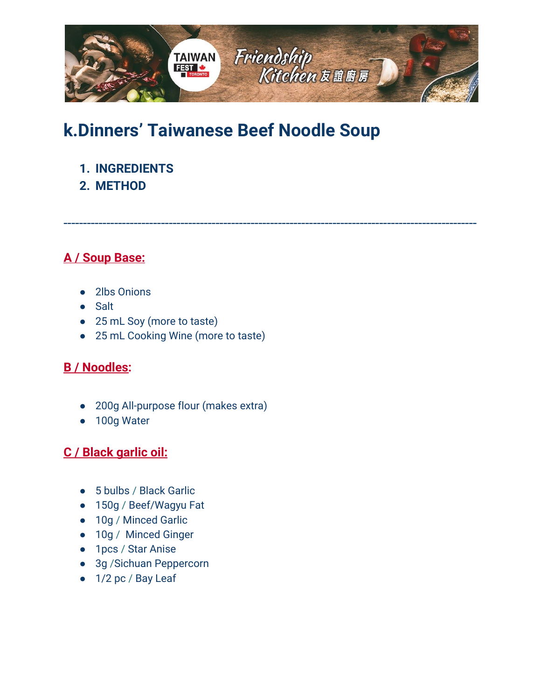

# **k.Dinners' Taiwanese Beef Noodle Soup**

- **1. [INGREDIENTS](#page-0-0)**
- **2. [METHOD](#page-1-0)**

<span id="page-0-0"></span>----------------------------------------------------------------------------------------------------------

# **A / Soup Base:**

- 2lbs Onions
- Salt
- 25 mL Soy (more to taste)
- 25 mL Cooking Wine (more to taste)

#### **B / Noodles:**

- 200g All-purpose flour (makes extra)
- 100g Water

## **C / Black garlic oil:**

- 5 bulbs / Black Garlic
- 150g / Beef/Wagyu Fat
- 10g / Minced Garlic
- 10g / Minced Ginger
- 1pcs / Star Anise
- 3g / Sichuan Peppercorn
- 1/2 pc / Bay Leaf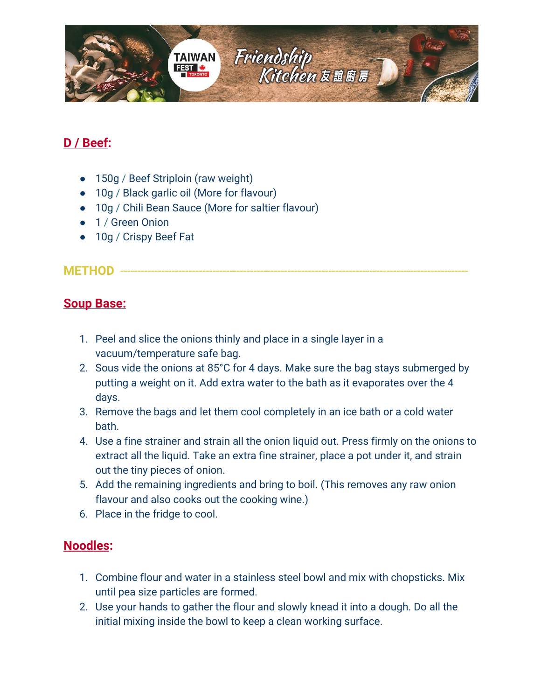

# **D / Beef:**

- 150g / Beef Striploin (raw weight)
- 10g / Black garlic oil (More for flavour)
- 10g / Chili Bean Sauce (More for saltier flavour)
- 1 / Green Onion
- 10g / Crispy Beef Fat

#### <span id="page-1-0"></span>**METHOD** -

#### **Soup Base:**

- 1. Peel and slice the onions thinly and place in a single layer in a vacuum/temperature safe bag.
- 2. Sous vide the onions at 85°C for 4 days. Make sure the bag stays submerged by putting a weight on it. Add extra water to the bath as it evaporates over the 4 days.
- 3. Remove the bags and let them cool completely in an ice bath or a cold water bath.
- 4. Use a fine strainer and strain all the onion liquid out. Press firmly on the onions to extract all the liquid. Take an extra fine strainer, place a pot under it, and strain out the tiny pieces of onion.
- 5. Add the remaining ingredients and bring to boil. (This removes any raw onion flavour and also cooks out the cooking wine.)
- 6. Place in the fridge to cool.

#### **Noodles:**

- 1. Combine flour and water in a stainless steel bowl and mix with chopsticks. Mix until pea size particles are formed.
- 2. Use your hands to gather the flour and slowly knead it into a dough. Do all the initial mixing inside the bowl to keep a clean working surface.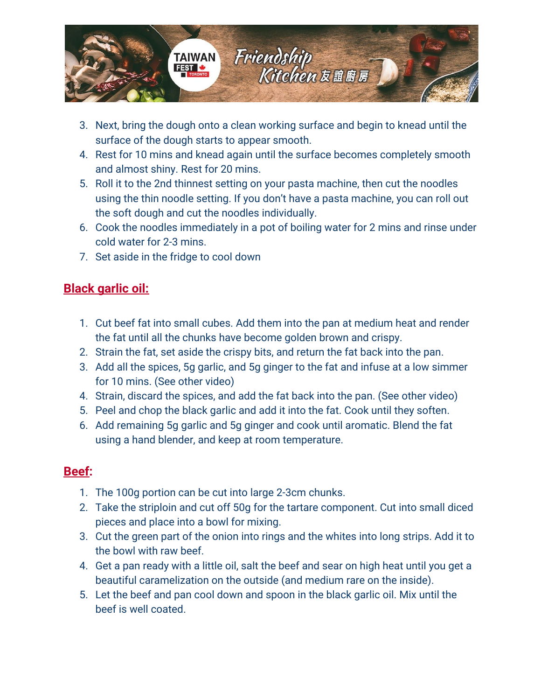

- 3. Next, bring the dough onto a clean working surface and begin to knead until the surface of the dough starts to appear smooth.
- 4. Rest for 10 mins and knead again until the surface becomes completely smooth and almost shiny. Rest for 20 mins.
- 5. Roll it to the 2nd thinnest setting on your pasta machine, then cut the noodles using the thin noodle setting. If you don't have a pasta machine, you can roll out the soft dough and cut the noodles individually.
- 6. Cook the noodles immediately in a pot of boiling water for 2 mins and rinse under cold water for 2-3 mins.
- 7. Set aside in the fridge to cool down

# **Black garlic oil:**

- 1. Cut beef fat into small cubes. Add them into the pan at medium heat and render the fat until all the chunks have become golden brown and crispy.
- 2. Strain the fat, set aside the crispy bits, and return the fat back into the pan.
- 3. Add all the spices, 5g garlic, and 5g ginger to the fat and infuse at a low simmer for 10 mins. (See other video)
- 4. Strain, discard the spices, and add the fat back into the pan. (See other video)
- 5. Peel and chop the black garlic and add it into the fat. Cook until they soften.
- 6. Add remaining 5g garlic and 5g ginger and cook until aromatic. Blend the fat using a hand blender, and keep at room temperature.

## **Beef:**

- 1. The 100g portion can be cut into large 2-3cm chunks.
- 2. Take the striploin and cut off 50g for the tartare component. Cut into small diced pieces and place into a bowl for mixing.
- 3. Cut the green part of the onion into rings and the whites into long strips. Add it to the bowl with raw beef.
- 4. Get a pan ready with a little oil, salt the beef and sear on high heat until you get a beautiful caramelization on the outside (and medium rare on the inside).
- 5. Let the beef and pan cool down and spoon in the black garlic oil. Mix until the beef is well coated.